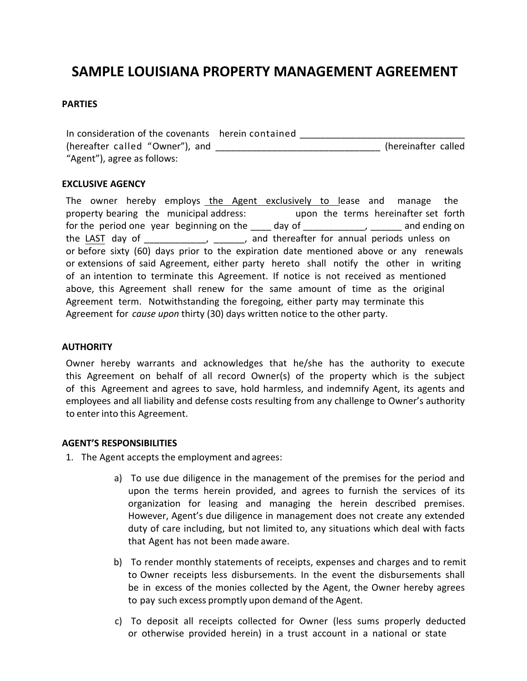# **SAMPLE LOUISIANA PROPERTY MANAGEMENT AGREEMENT**

#### **PARTIES**

In consideration of the covenants herein contained (hereafter called "Owner"), and \_\_\_\_\_\_\_\_\_\_\_\_\_\_\_\_\_\_\_\_\_\_\_\_\_\_\_\_\_\_\_\_ (hereinafter called "Agent"), agree as follows:

#### **EXCLUSIVE AGENCY**

The owner hereby employs the Agent exclusively to lease and manage the property bearing the municipal address: upon the terms hereinafter set forth for the period one year beginning on the day of the state of the sand ending on the LAST day of \_\_\_\_\_\_\_\_\_\_\_, \_\_\_\_\_, and thereafter for annual periods unless on or before sixty (60) days prior to the expiration date mentioned above or any renewals or extensions of said Agreement, either party hereto shall notify the other in writing of an intention to terminate this Agreement. If notice is not received as mentioned above, this Agreement shall renew for the same amount of time as the original Agreement term. Notwithstanding the foregoing, either party may terminate this Agreement for *cause upon* thirty (30) days written notice to the other party.

#### **AUTHORITY**

Owner hereby warrants and acknowledges that he/she has the authority to execute this Agreement on behalf of all record Owner(s) of the property which is the subject of this Agreement and agrees to save, hold harmless, and indemnify Agent, its agents and employees and all liability and defense costs resulting from any challenge to Owner's authority to enter into this Agreement.

#### **AGENT'S RESPONSIBILITIES**

- 1. The Agent accepts the employment and agrees:
	- a) To use due diligence in the management of the premises for the period and upon the terms herein provided, and agrees to furnish the services of its organization for leasing and managing the herein described premises. However, Agent's due diligence in management does not create any extended duty of care including, but not limited to, any situations which deal with facts that Agent has not been made aware.
	- b) To render monthly statements of receipts, expenses and charges and to remit to Owner receipts less disbursements. In the event the disbursements shall be in excess of the monies collected by the Agent, the Owner hereby agrees to pay such excess promptly upon demand of the Agent.
	- c) To deposit all receipts collected for Owner (less sums properly deducted or otherwise provided herein) in a trust account in a national or state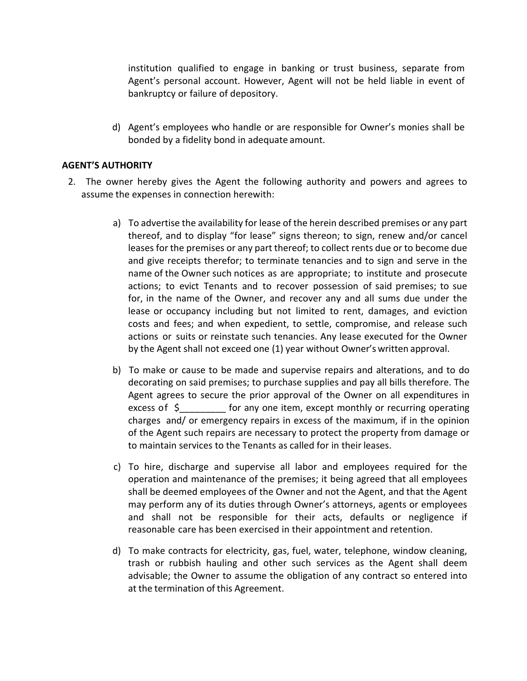institution qualified to engage in banking or trust business, separate from Agent's personal account. However, Agent will not be held liable in event of bankruptcy or failure of depository.

d) Agent's employees who handle or are responsible for Owner's monies shall be bonded by a fidelity bond in adequate amount.

## **AGENT'S AUTHORITY**

- 2. The owner hereby gives the Agent the following authority and powers and agrees to assume the expenses in connection herewith:
	- a) To advertise the availability for lease of the herein described premises or any part thereof, and to display "for lease" signs thereon; to sign, renew and/or cancel leases for the premises or any part thereof; to collect rents due or to become due and give receipts therefor; to terminate tenancies and to sign and serve in the name of the Owner such notices as are appropriate; to institute and prosecute actions; to evict Tenants and to recover possession of said premises; to sue for, in the name of the Owner, and recover any and all sums due under the lease or occupancy including but not limited to rent, damages, and eviction costs and fees; and when expedient, to settle, compromise, and release such actions or suits or reinstate such tenancies. Any lease executed for the Owner by the Agent shall not exceed one (1) year without Owner's written approval.
	- b) To make or cause to be made and supervise repairs and alterations, and to do decorating on said premises; to purchase supplies and pay all bills therefore. The Agent agrees to secure the prior approval of the Owner on all expenditures in excess of  $\zeta$  for any one item, except monthly or recurring operating charges and/ or emergency repairs in excess of the maximum, if in the opinion of the Agent such repairs are necessary to protect the property from damage or to maintain services to the Tenants as called for in their leases.
	- c) To hire, discharge and supervise all labor and employees required for the operation and maintenance of the premises; it being agreed that all employees shall be deemed employees of the Owner and not the Agent, and that the Agent may perform any of its duties through Owner's attorneys, agents or employees and shall not be responsible for their acts, defaults or negligence if reasonable care has been exercised in their appointment and retention.
	- d) To make contracts for electricity, gas, fuel, water, telephone, window cleaning, trash or rubbish hauling and other such services as the Agent shall deem advisable; the Owner to assume the obligation of any contract so entered into at the termination of this Agreement.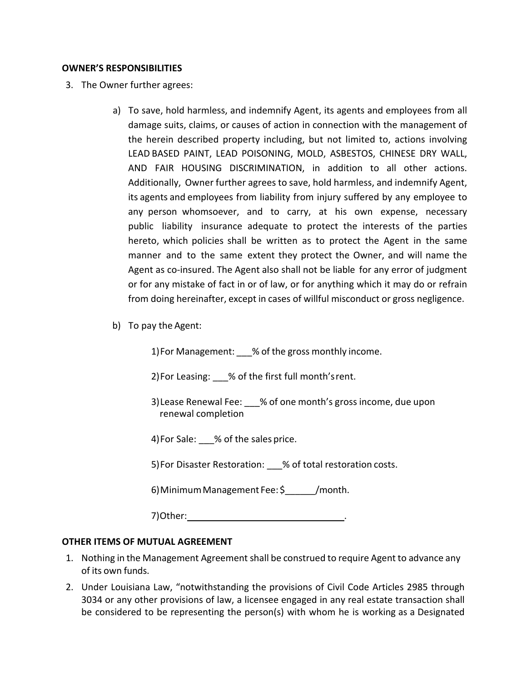### **OWNER'S RESPONSIBILITIES**

- 3. The Owner further agrees:
	- a) To save, hold harmless, and indemnify Agent, its agents and employees from all damage suits, claims, or causes of action in connection with the management of the herein described property including, but not limited to, actions involving LEAD BASED PAINT, LEAD POISONING, MOLD, ASBESTOS, CHINESE DRY WALL, AND FAIR HOUSING DISCRIMINATION, in addition to all other actions. Additionally, Owner further agrees to save, hold harmless, and indemnify Agent, its agents and employees from liability from injury suffered by any employee to any person whomsoever, and to carry, at his own expense, necessary public liability insurance adequate to protect the interests of the parties hereto, which policies shall be written as to protect the Agent in the same manner and to the same extent they protect the Owner, and will name the Agent as co-insured. The Agent also shall not be liable for any error of judgment or for any mistake of fact in or of law, or for anything which it may do or refrain from doing hereinafter, except in cases of willful misconduct or gross negligence.
	- b) To pay the Agent:

1) For Management: % of the gross monthly income.

2) For Leasing: % of the first full month's rent.

3)Lease Renewal Fee: \_\_\_% of one month's gross income, due upon renewal completion

4) For Sale: % of the sales price.

5) For Disaster Restoration: % of total restoration costs.

6)MinimumManagement Fee: \$\_\_\_\_\_\_/month.

7)Other: .

## **OTHER ITEMS OF MUTUAL AGREEMENT**

- 1. Nothing in the Management Agreement shall be construed to require Agent to advance any of its own funds.
- 2. Under Louisiana Law, "notwithstanding the provisions of Civil Code Articles 2985 through 3034 or any other provisions of law, a licensee engaged in any real estate transaction shall be considered to be representing the person(s) with whom he is working as a Designated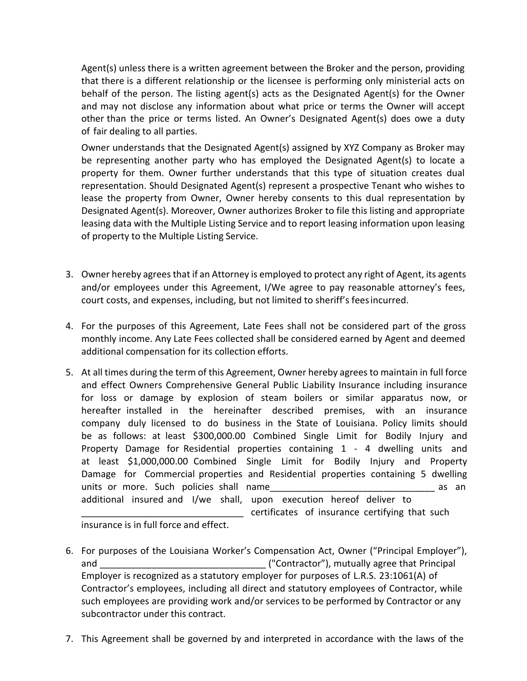Agent(s) unless there is a written agreement between the Broker and the person, providing that there is a different relationship or the licensee is performing only ministerial acts on behalf of the person. The listing agent(s) acts as the Designated Agent(s) for the Owner and may not disclose any information about what price or terms the Owner will accept other than the price or terms listed. An Owner's Designated Agent(s) does owe a duty of fair dealing to all parties.

Owner understands that the Designated Agent(s) assigned by XYZ Company as Broker may be representing another party who has employed the Designated Agent(s) to locate a property for them. Owner further understands that this type of situation creates dual representation. Should Designated Agent(s) represent a prospective Tenant who wishes to lease the property from Owner, Owner hereby consents to this dual representation by Designated Agent(s). Moreover, Owner authorizes Broker to file this listing and appropriate leasing data with the Multiple Listing Service and to report leasing information upon leasing of property to the Multiple Listing Service.

- 3. Owner hereby agrees that if an Attorney is employed to protect any right of Agent, its agents and/or employees under this Agreement, I/We agree to pay reasonable attorney's fees, court costs, and expenses, including, but not limited to sheriff's feesincurred.
- 4. For the purposes of this Agreement, Late Fees shall not be considered part of the gross monthly income. Any Late Fees collected shall be considered earned by Agent and deemed additional compensation for its collection efforts.
- 5. At all times during the term of this Agreement, Owner hereby agrees to maintain in full force and effect Owners Comprehensive General Public Liability Insurance including insurance for loss or damage by explosion of steam boilers or similar apparatus now, or hereafter installed in the hereinafter described premises, with an insurance company duly licensed to do business in the State of Louisiana. Policy limits should be as follows: at least \$300,000.00 Combined Single Limit for Bodily Injury and Property Damage for Residential properties containing 1 - 4 dwelling units and at least \$1,000,000.00 Combined Single Limit for Bodily Injury and Property Damage for Commercial properties and Residential properties containing 5 dwelling units or more. Such policies shall name and the state of the state of the state of the state of the state of t additional insured and I/we shall, upon execution hereof deliver to \_\_\_\_\_\_\_\_\_\_\_\_\_\_\_\_\_\_\_\_\_\_\_\_\_\_\_\_\_\_\_\_ certificates of insurance certifying that such

insurance is in full force and effect.

- 6. For purposes of the Louisiana Worker's Compensation Act, Owner ("Principal Employer"), and and  $\Box$  ("Contractor"), mutually agree that Principal Employer is recognized as a statutory employer for purposes of L.R.S. 23:1061(A) of Contractor's employees, including all direct and statutory employees of Contractor, while such employees are providing work and/or services to be performed by Contractor or any subcontractor under this contract.
- 7. This Agreement shall be governed by and interpreted in accordance with the laws of the